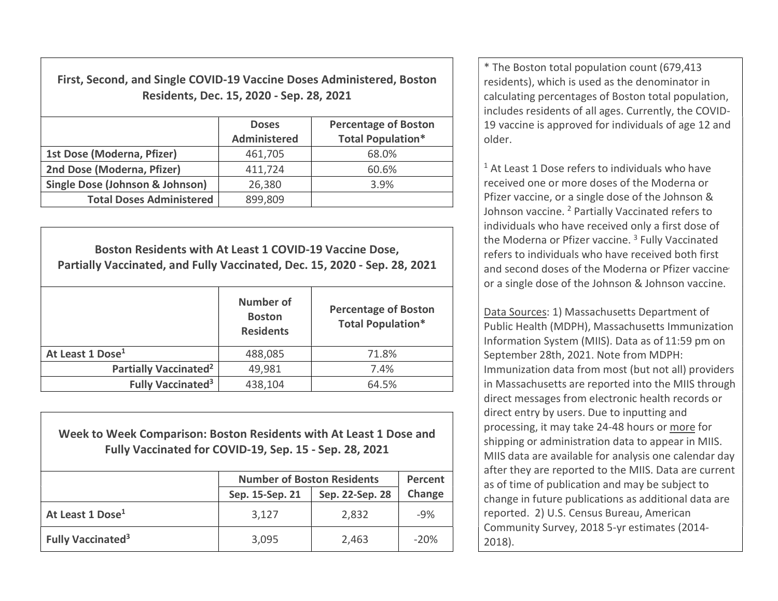First, Second, and Single COVID-19 Vaccine Doses Administered, Boston Residents, Dec. 15, 2020 - Sep. 28, 2021

|                                            | <b>Doses</b><br>Administered | <b>Percentage of Boston</b><br><b>Total Population*</b> |
|--------------------------------------------|------------------------------|---------------------------------------------------------|
| 1st Dose (Moderna, Pfizer)                 | 461,705                      | 68.0%                                                   |
| 2nd Dose (Moderna, Pfizer)                 | 411,724                      | 60.6%                                                   |
| <b>Single Dose (Johnson &amp; Johnson)</b> | 26,380                       | 3.9%                                                    |
| <b>Total Doses Administered</b>            | 899,809                      |                                                         |

Boston Residents with At Least 1 COVID-19 Vaccine Dose, Partially Vaccinated, and Fully Vaccinated, Dec. 15, 2020 - Sep. 28, 2021 Number of **Boston Residents** Percentage of Boston Total Population\* **At Least 1 Dose<sup>1</sup> 1.8%** Partially Vaccinated<sup>2</sup>  $\vert$  49,981  $\vert$  7.4% Fully Vaccinated<sup>3</sup> 438,104  $\vert$  64.5%

Week to Week Comparison: Boston Residents with At Least 1 Dose and Fully Vaccinated for COVID-19, Sep. 15 - Sep. 28, 2021

|                                     | <b>Number of Boston Residents</b> | Percent         |        |
|-------------------------------------|-----------------------------------|-----------------|--------|
|                                     | Sep. 15-Sep. 21                   | Sep. 22-Sep. 28 | Change |
| At Least 1 Dose <sup>1</sup>        | 3,127                             | 2,832           | $-9%$  |
| <b>Fully Vaccinated<sup>3</sup></b> | 3,095                             | 2,463           | $-20%$ |

\* The Boston total population count (679,413 residents), which is used as the denominator in calculating percentages of Boston total population, includes residents of all ages. Currently, the COVID-19 vaccine is approved for individuals of age 12 and older.

<sup>1</sup> At Least 1 Dose refers to individuals who have received one or more doses of the Moderna or Pfizer vaccine, or a single dose of the Johnson & Johnson vaccine. <sup>2</sup> Partially Vaccinated refers to individuals who have received only a first dose of the Moderna or Pfizer vaccine.<sup>3</sup> Fully Vaccinated refers to individuals who have received both first and second doses of the Moderna or Pfizer vaccine or a single dose of the Johnson & Johnson vaccine.

Data Sources: 1) Massachusetts Department of Public Health (MDPH), Massachusetts Immunization Information System (MIIS). Data as of 11:59 pm on September 28th, 2021. Note from MDPH: Immunization data from most (but not all) providers in Massachusetts are reported into the MIIS through direct messages from electronic health records or direct entry by users. Due to inputting and processing, it may take 24-48 hours or more for shipping or administration data to appear in MIIS. MIIS data are available for analysis one calendar day after they are reported to the MIIS. Data are current as of time of publication and may be subject to change in future publications as additional data are reported. 2) U.S. Census Bureau, American Community Survey, 2018 5-yr estimates (2014- 2018).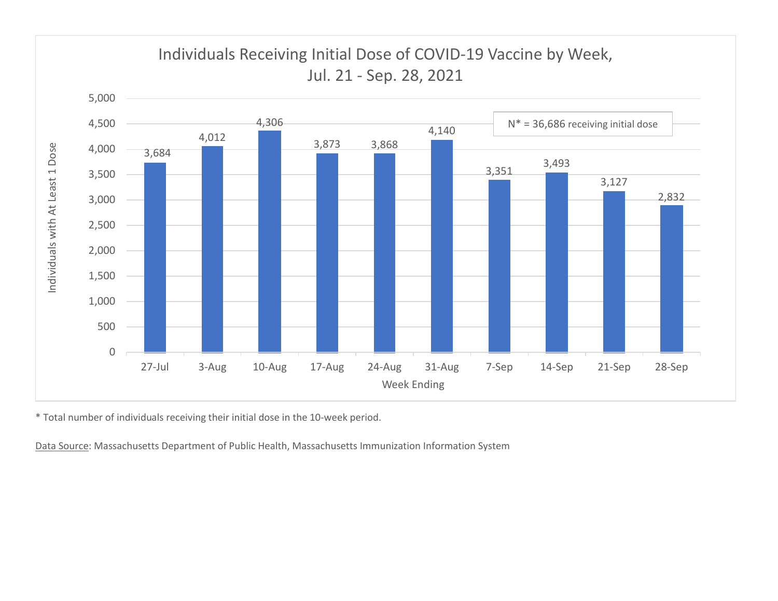

\* Total number of individuals receiving their initial dose in the 10-week period.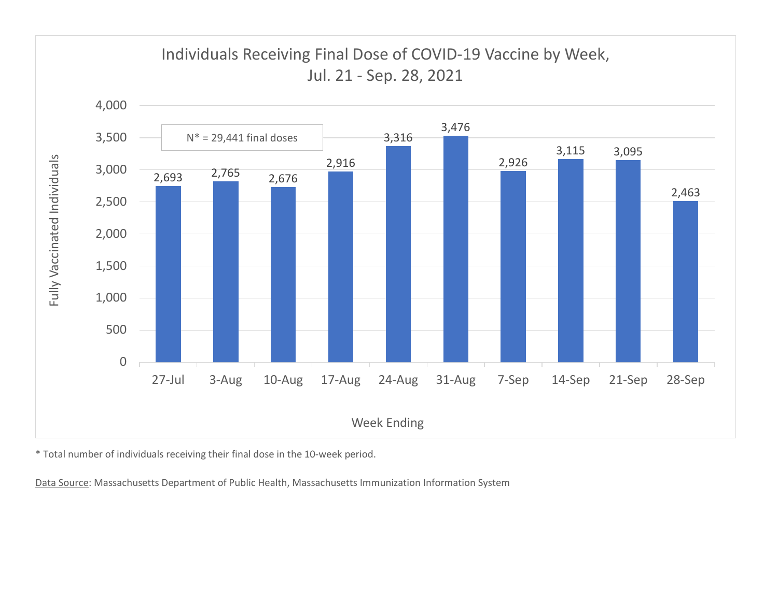

\* Total number of individuals receiving their final dose in the 10-week period.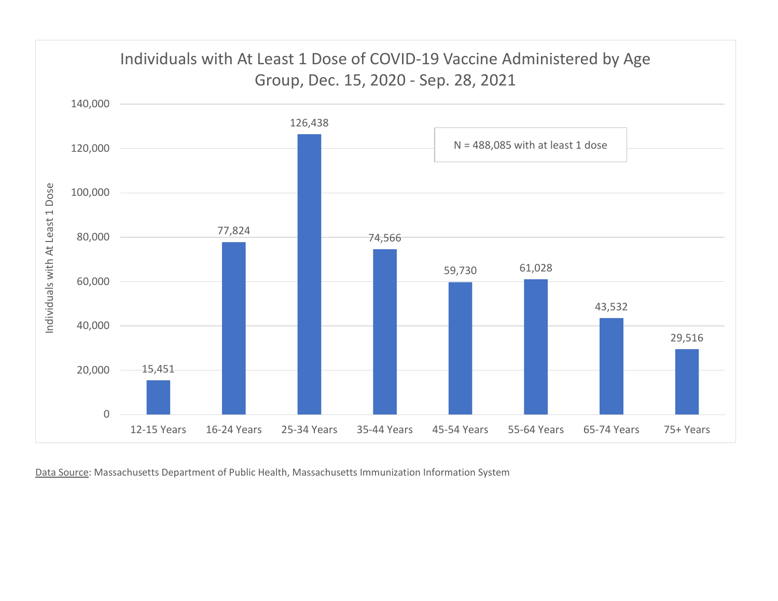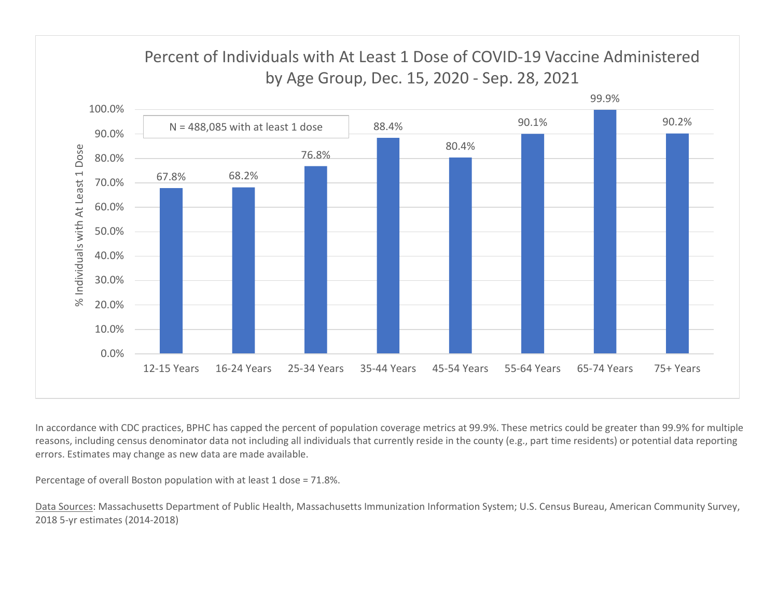

In accordance with CDC practices, BPHC has capped the percent of population coverage metrics at 99.9%. These metrics could be greater than 99.9% for multiple reasons, including census denominator data not including all individuals that currently reside in the county (e.g., part time residents) or potential data reporting errors. Estimates may change as new data are made available.

Percentage of overall Boston population with at least 1 dose = 71.8%.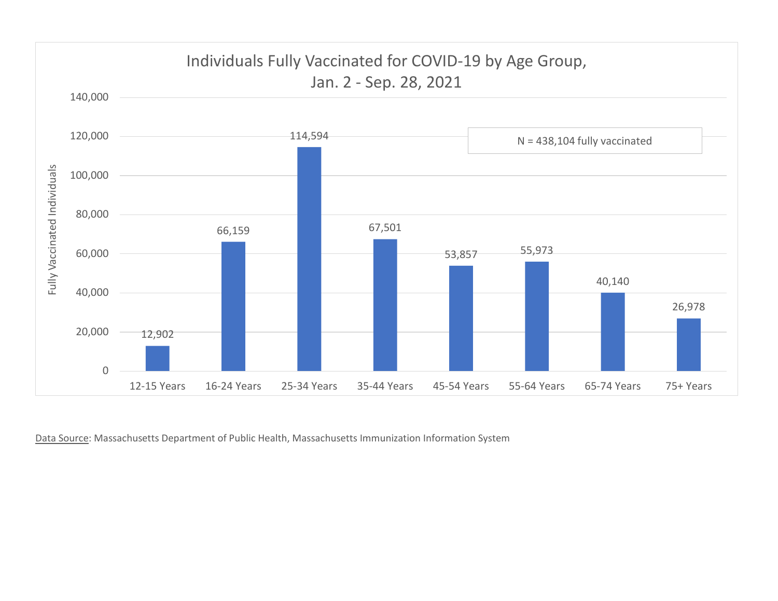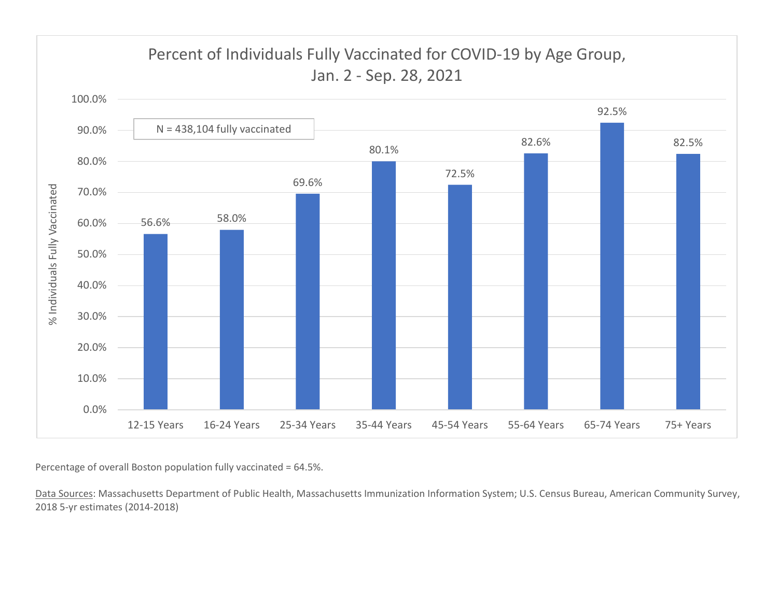

Percentage of overall Boston population fully vaccinated = 64.5%.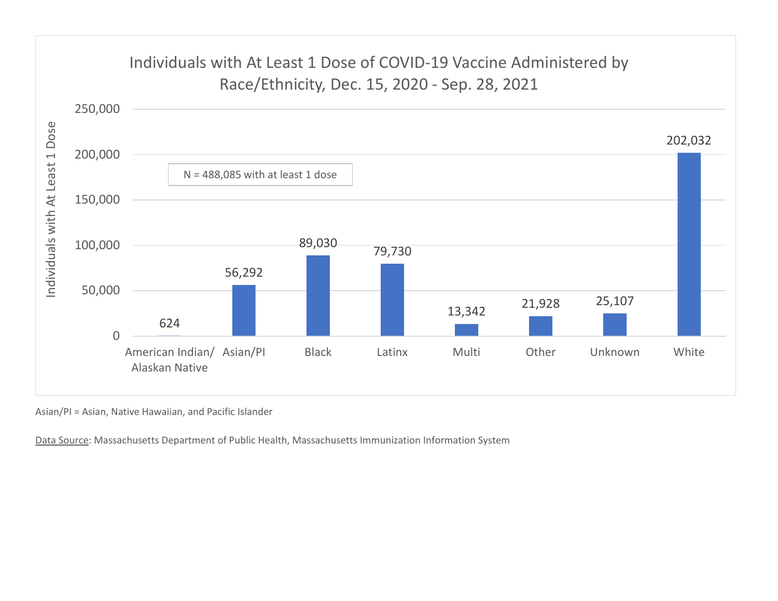

Asian/PI = Asian, Native Hawaiian, and Pacific Islander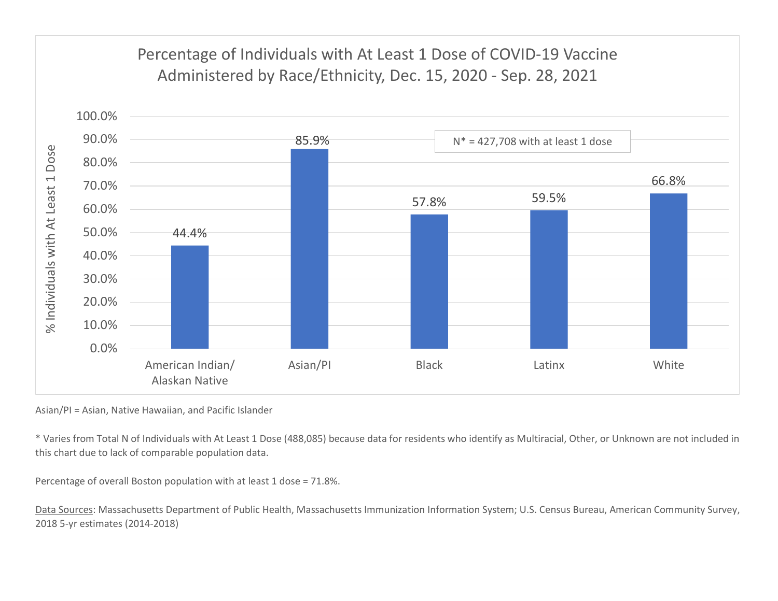

Asian/PI = Asian, Native Hawaiian, and Pacific Islander

\* Varies from Total N of Individuals with At Least 1 Dose (488,085) because data for residents who identify as Multiracial, Other, or Unknown are not included in this chart due to lack of comparable population data.

Percentage of overall Boston population with at least 1 dose = 71.8%.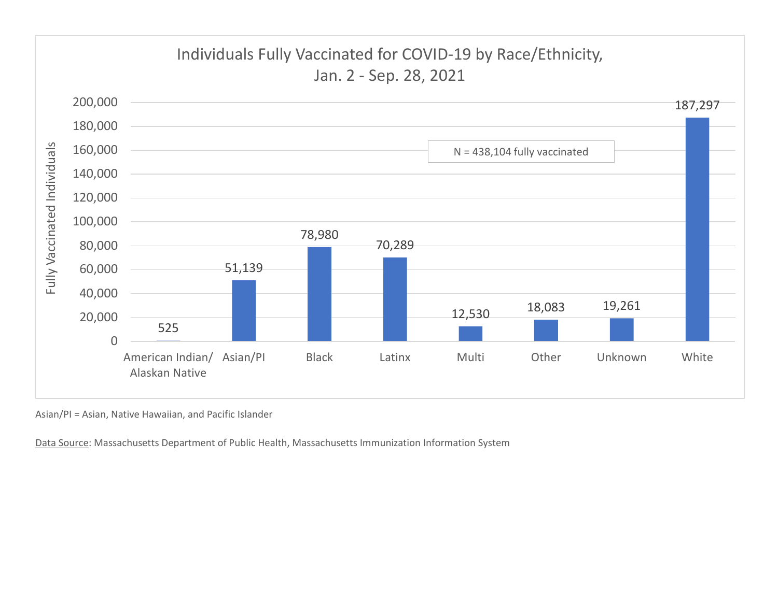

Asian/PI = Asian, Native Hawaiian, and Pacific Islander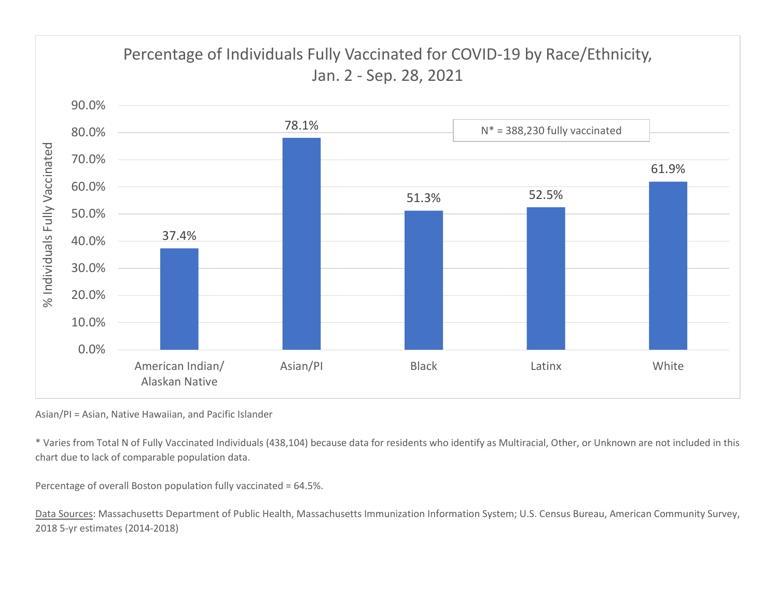

Asian/PI = Asian, Native Hawaiian, and Pacific Islander

\* Varies from Total N of Fully Vaccinated Individuals (438,104) because data for residents who identify as Multiracial, Other, or Unknown are not included in this chart due to lack of comparable population data.

Percentage of overall Boston population fully vaccinated = 64.5%.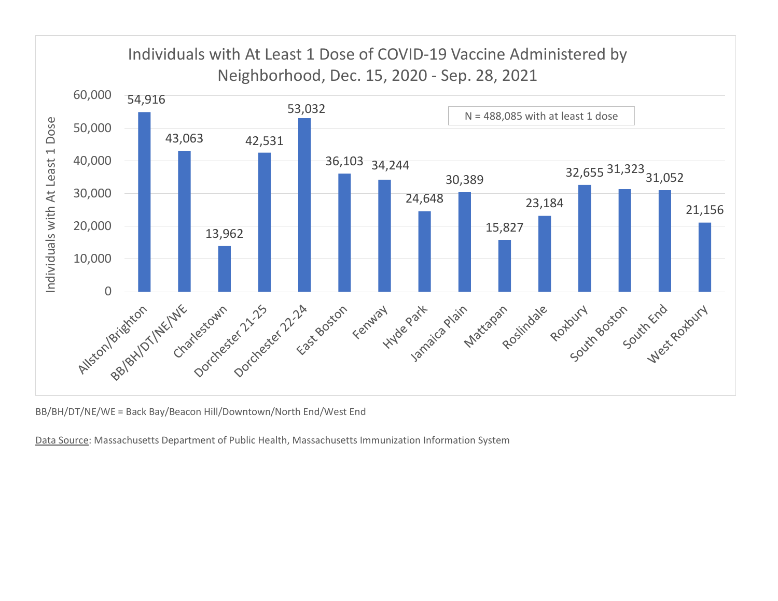

BB/BH/DT/NE/WE = Back Bay/Beacon Hill/Downtown/North End/West End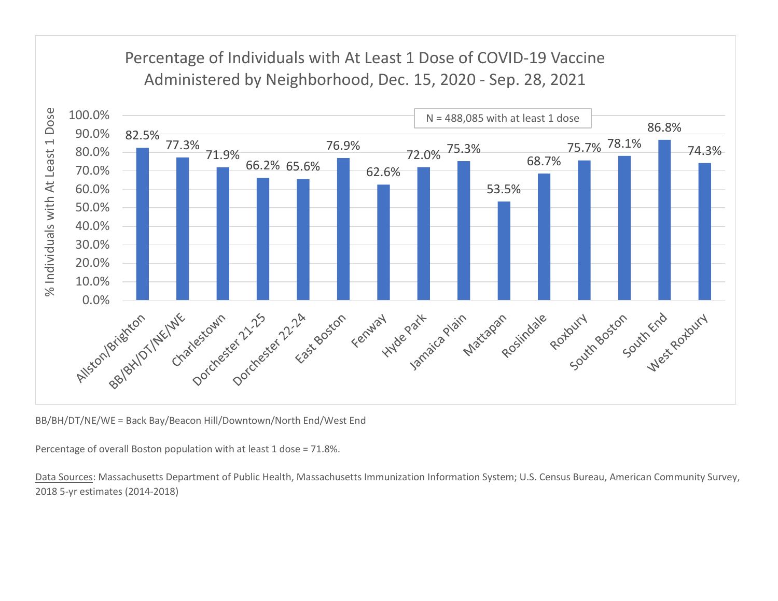

BB/BH/DT/NE/WE = Back Bay/Beacon Hill/Downtown/North End/West End

Percentage of overall Boston population with at least 1 dose = 71.8%.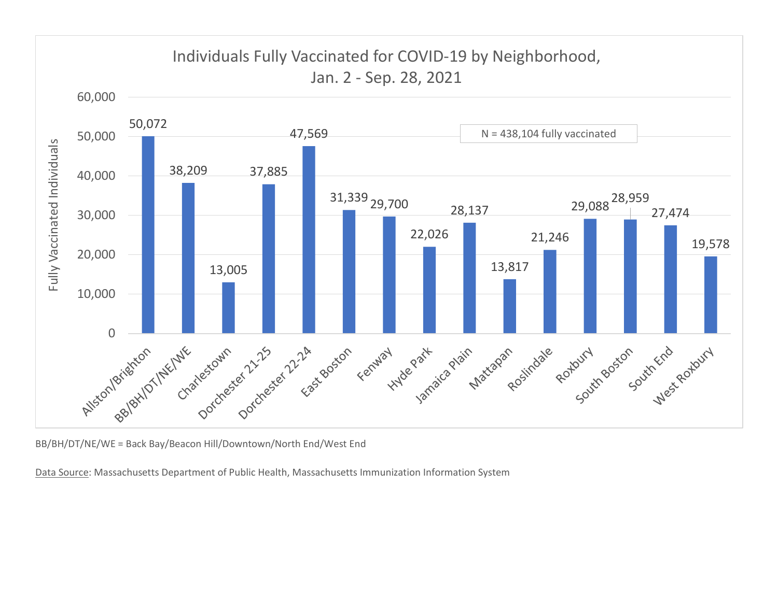

BB/BH/DT/NE/WE = Back Bay/Beacon Hill/Downtown/North End/West End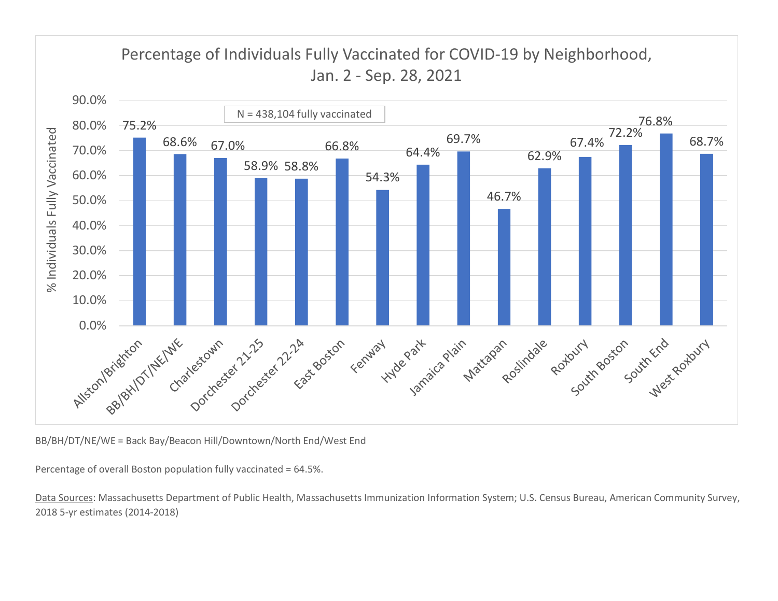

BB/BH/DT/NE/WE = Back Bay/Beacon Hill/Downtown/North End/West End

Percentage of overall Boston population fully vaccinated = 64.5%.